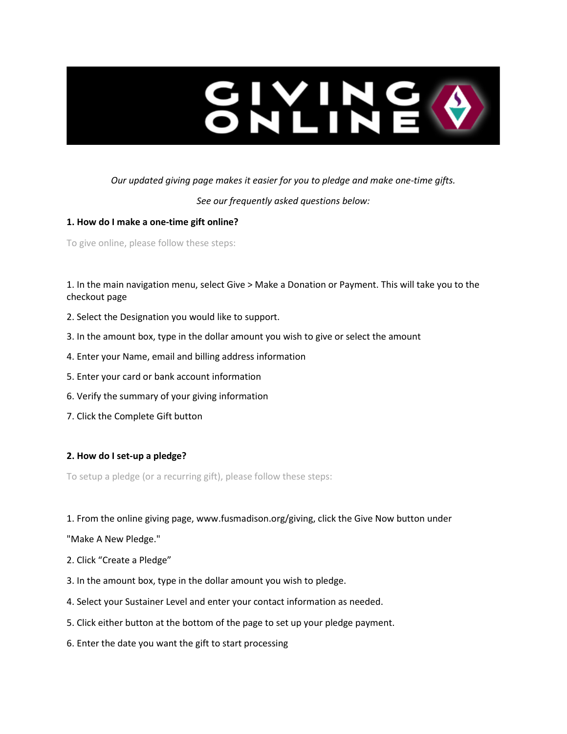

# *Our updated giving page makes it easier for you to pledge and make one-time gifts.*

*See our frequently asked questions below:*

## **1. How do I make a one-time gift online?**

To give online, please follow these steps:

1. In the main navigation menu, select Give > Make a Donation or Payment. This will take you to the checkout page

- 2. Select the Designation you would like to support.
- 3. In the amount box, type in the dollar amount you wish to give or select the amount
- 4. Enter your Name, email and billing address information
- 5. Enter your card or bank account information
- 6. Verify the summary of your giving information
- 7. Click the Complete Gift button

## **2. How do I set-up a pledge?**

To setup a pledge (or a recurring gift), please follow these steps:

1. From the online giving page, www.fusmadison.org/giving, click the Give Now button under

"Make A New Pledge."

- 2. Click "Create a Pledge"
- 3. In the amount box, type in the dollar amount you wish to pledge.
- 4. Select your Sustainer Level and enter your contact information as needed.
- 5. Click either button at the bottom of the page to set up your pledge payment.
- 6. Enter the date you want the gift to start processing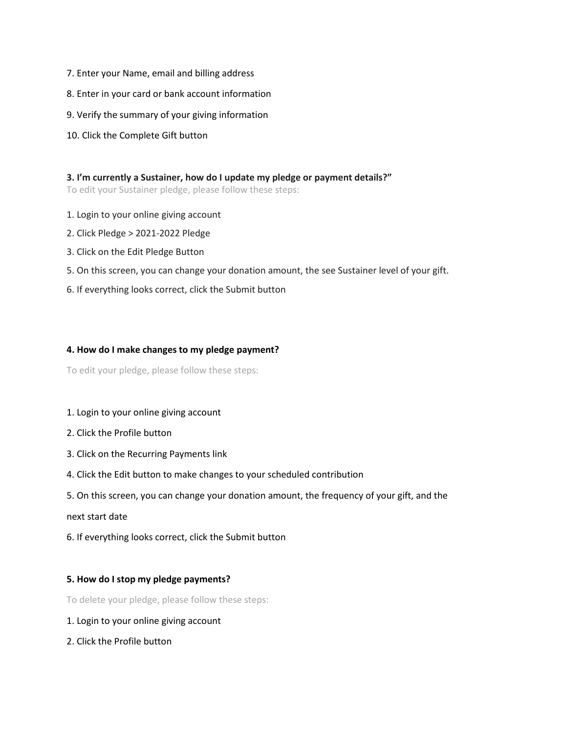- 7. Enter your Name, email and billing address
- 8. Enter in your card or bank account information
- 9. Verify the summary of your giving information
- 10. Click the Complete Gift button

#### **3. I'm currently a Sustainer, how do I update my pledge or payment details?"**

To edit your Sustainer pledge, please follow these steps:

- 1. Login to your online giving account
- 2. Click Pledge > 2021-2022 Pledge
- 3. Click on the Edit Pledge Button
- 5. On this screen, you can change your donation amount, the see Sustainer level of your gift.
- 6. If everything looks correct, click the Submit button

### **4. How do I make changes to my pledge payment?**

To edit your pledge, please follow these steps:

#### 1. Login to your online giving account

- 2. Click the Profile button
- 3. Click on the Recurring Payments link
- 4. Click the Edit button to make changes to your scheduled contribution
- 5. On this screen, you can change your donation amount, the frequency of your gift, and the

#### next start date

6. If everything looks correct, click the Submit button

### **5. How do I stop my pledge payments?**

To delete your pledge, please follow these steps:

- 1. Login to your online giving account
- 2. Click the Profile button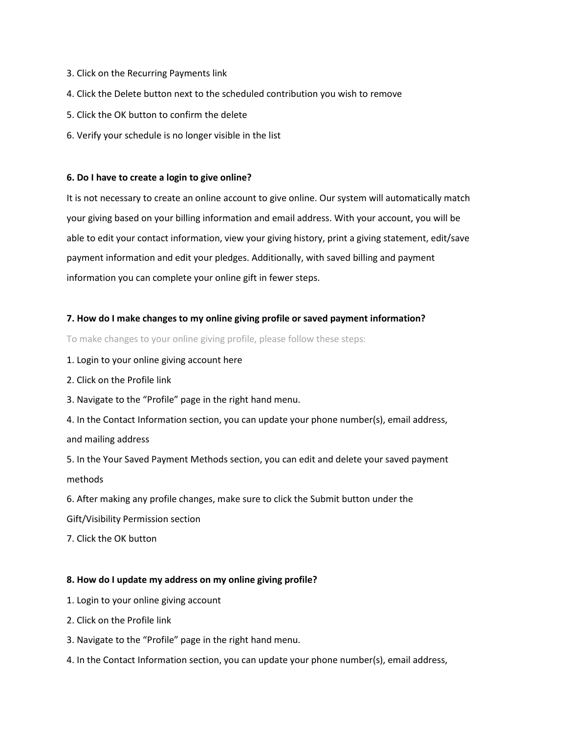- 3. Click on the Recurring Payments link
- 4. Click the Delete button next to the scheduled contribution you wish to remove
- 5. Click the OK button to confirm the delete
- 6. Verify your schedule is no longer visible in the list

#### **6. Do I have to create a login to give online?**

It is not necessary to create an online account to give online. Our system will automatically match your giving based on your billing information and email address. With your account, you will be able to edit your contact information, view your giving history, print a giving statement, edit/save payment information and edit your pledges. Additionally, with saved billing and payment information you can complete your online gift in fewer steps.

#### **7. How do I make changes to my online giving profile or saved payment information?**

To make changes to your online giving profile, please follow these steps:

- 1. Login to your online giving account here
- 2. Click on the Profile link
- 3. Navigate to the "Profile" page in the right hand menu.
- 4. In the Contact Information section, you can update your phone number(s), email address, and mailing address

5. In the Your Saved Payment Methods section, you can edit and delete your saved payment methods

6. After making any profile changes, make sure to click the Submit button under the Gift/Visibility Permission section

7. Click the OK button

#### **8. How do I update my address on my online giving profile?**

- 1. Login to your online giving account
- 2. Click on the Profile link
- 3. Navigate to the "Profile" page in the right hand menu.
- 4. In the Contact Information section, you can update your phone number(s), email address,